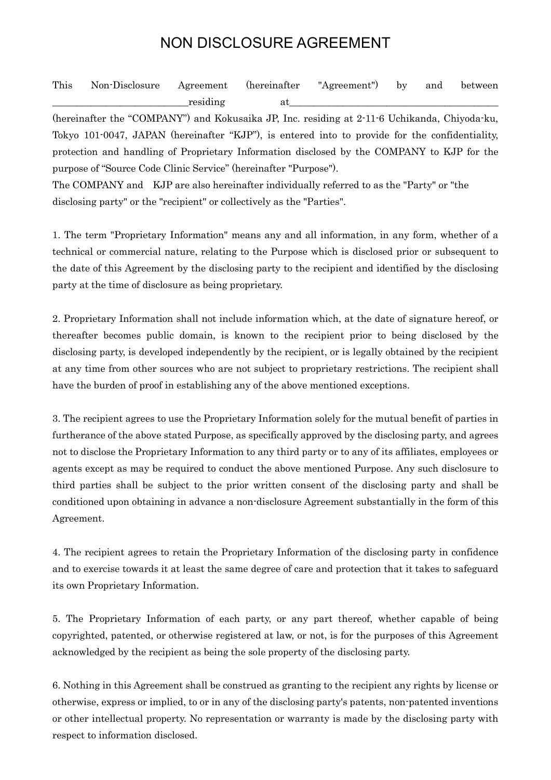## NON DISCLOSURE AGREEMENT

| This | Non-Disclosure Agreement (hereinafter |          | $\angle$ "Agreement") | $\cdot$ by $\cdot$ | and between |
|------|---------------------------------------|----------|-----------------------|--------------------|-------------|
|      |                                       | residing |                       |                    |             |

(hereinafter the "COMPANY") and Kokusaika JP, Inc. residing at 2-11-6 Uchikanda, Chiyoda-ku, Tokyo 101-0047, JAPAN (hereinafter "KJP"), is entered into to provide for the confidentiality, protection and handling of Proprietary Information disclosed by the COMPANY to KJP for the purpose of "Source Code Clinic Service" (hereinafter "Purpose").

The COMPANY and KJP are also hereinafter individually referred to as the "Party" or "the disclosing party" or the "recipient" or collectively as the "Parties".

1. The term "Proprietary Information" means any and all information, in any form, whether of a technical or commercial nature, relating to the Purpose which is disclosed prior or subsequent to the date of this Agreement by the disclosing party to the recipient and identified by the disclosing party at the time of disclosure as being proprietary.

2. Proprietary Information shall not include information which, at the date of signature hereof, or thereafter becomes public domain, is known to the recipient prior to being disclosed by the disclosing party, is developed independently by the recipient, or is legally obtained by the recipient at any time from other sources who are not subject to proprietary restrictions. The recipient shall have the burden of proof in establishing any of the above mentioned exceptions.

3. The recipient agrees to use the Proprietary Information solely for the mutual benefit of parties in furtherance of the above stated Purpose, as specifically approved by the disclosing party, and agrees not to disclose the Proprietary Information to any third party or to any of its affiliates, employees or agents except as may be required to conduct the above mentioned Purpose. Any such disclosure to third parties shall be subject to the prior written consent of the disclosing party and shall be conditioned upon obtaining in advance a non-disclosure Agreement substantially in the form of this Agreement.

4. The recipient agrees to retain the Proprietary Information of the disclosing party in confidence and to exercise towards it at least the same degree of care and protection that it takes to safeguard its own Proprietary Information.

5. The Proprietary Information of each party, or any part thereof, whether capable of being copyrighted, patented, or otherwise registered at law, or not, is for the purposes of this Agreement acknowledged by the recipient as being the sole property of the disclosing party.

6. Nothing in this Agreement shall be construed as granting to the recipient any rights by license or otherwise, express or implied, to or in any of the disclosing party's patents, non-patented inventions or other intellectual property. No representation or warranty is made by the disclosing party with respect to information disclosed.